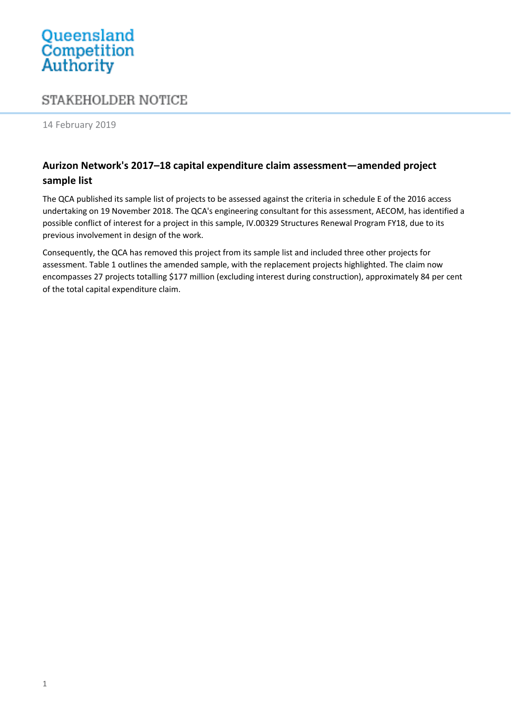## Queensland<br>Competition Authority

## **STAKEHOLDER NOTICE**

14 February 2019

## **Aurizon Network's 2017–18 capital expenditure claim assessment—amended project sample list**

The QCA published its sample list of projects to be assessed against the criteria in schedule E of the 2016 access undertaking on 19 November 2018. The QCA's engineering consultant for this assessment, AECOM, has identified a possible conflict of interest for a project in this sample, IV.00329 Structures Renewal Program FY18, due to its previous involvement in design of the work.

Consequently, the QCA has removed this project from its sample list and included three other projects for assessment. Table 1 outlines the amended sample, with the replacement projects highlighted. The claim now encompasses 27 projects totalling \$177 million (excluding interest during construction), approximately 84 per cent of the total capital expenditure claim.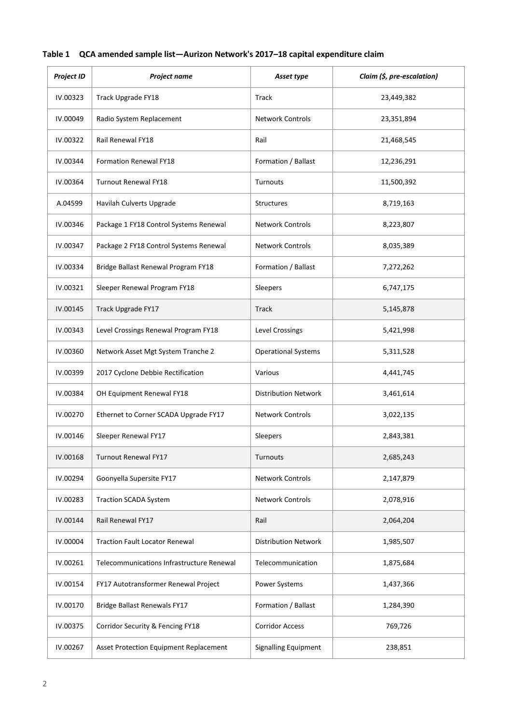|  | Table 1 QCA amended sample list—Aurizon Network's 2017–18 capital expenditure claim |  |
|--|-------------------------------------------------------------------------------------|--|
|--|-------------------------------------------------------------------------------------|--|

| <b>Project ID</b> | Project name                              | Asset type                  | Claim (\$, pre-escalation) |
|-------------------|-------------------------------------------|-----------------------------|----------------------------|
| IV.00323          | Track Upgrade FY18                        | Track                       | 23,449,382                 |
| IV.00049          | Radio System Replacement                  | <b>Network Controls</b>     | 23,351,894                 |
| IV.00322          | Rail Renewal FY18                         | Rail                        | 21,468,545                 |
| IV.00344          | <b>Formation Renewal FY18</b>             | Formation / Ballast         | 12,236,291                 |
| IV.00364          | <b>Turnout Renewal FY18</b>               | Turnouts                    | 11,500,392                 |
| A.04599           | Havilah Culverts Upgrade                  | <b>Structures</b>           | 8,719,163                  |
| IV.00346          | Package 1 FY18 Control Systems Renewal    | <b>Network Controls</b>     | 8,223,807                  |
| IV.00347          | Package 2 FY18 Control Systems Renewal    | <b>Network Controls</b>     | 8,035,389                  |
| IV.00334          | Bridge Ballast Renewal Program FY18       | Formation / Ballast         | 7,272,262                  |
| IV.00321          | Sleeper Renewal Program FY18              | Sleepers                    | 6,747,175                  |
| IV.00145          | Track Upgrade FY17                        | Track                       | 5,145,878                  |
| IV.00343          | Level Crossings Renewal Program FY18      | Level Crossings             | 5,421,998                  |
| IV.00360          | Network Asset Mgt System Tranche 2        | <b>Operational Systems</b>  | 5,311,528                  |
| IV.00399          | 2017 Cyclone Debbie Rectification         | Various                     | 4,441,745                  |
| IV.00384          | OH Equipment Renewal FY18                 | <b>Distribution Network</b> | 3,461,614                  |
| IV.00270          | Ethernet to Corner SCADA Upgrade FY17     | <b>Network Controls</b>     | 3,022,135                  |
| IV.00146          | Sleeper Renewal FY17                      | Sleepers                    | 2,843,381                  |
| IV.00168          | Turnout Renewal FY17                      | Turnouts                    | 2,685,243                  |
| IV.00294          | Goonyella Supersite FY17                  | <b>Network Controls</b>     | 2,147,879                  |
| IV.00283          | <b>Traction SCADA System</b>              | Network Controls            | 2,078,916                  |
| IV.00144          | Rail Renewal FY17                         | Rail                        | 2,064,204                  |
| IV.00004          | <b>Traction Fault Locator Renewal</b>     | <b>Distribution Network</b> | 1,985,507                  |
| IV.00261          | Telecommunications Infrastructure Renewal | Telecommunication           | 1,875,684                  |
| IV.00154          | FY17 Autotransformer Renewal Project      | Power Systems               | 1,437,366                  |
| IV.00170          | <b>Bridge Ballast Renewals FY17</b>       | Formation / Ballast         | 1,284,390                  |
| IV.00375          | Corridor Security & Fencing FY18          | <b>Corridor Access</b>      | 769,726                    |
| IV.00267          | Asset Protection Equipment Replacement    | <b>Signalling Equipment</b> | 238,851                    |